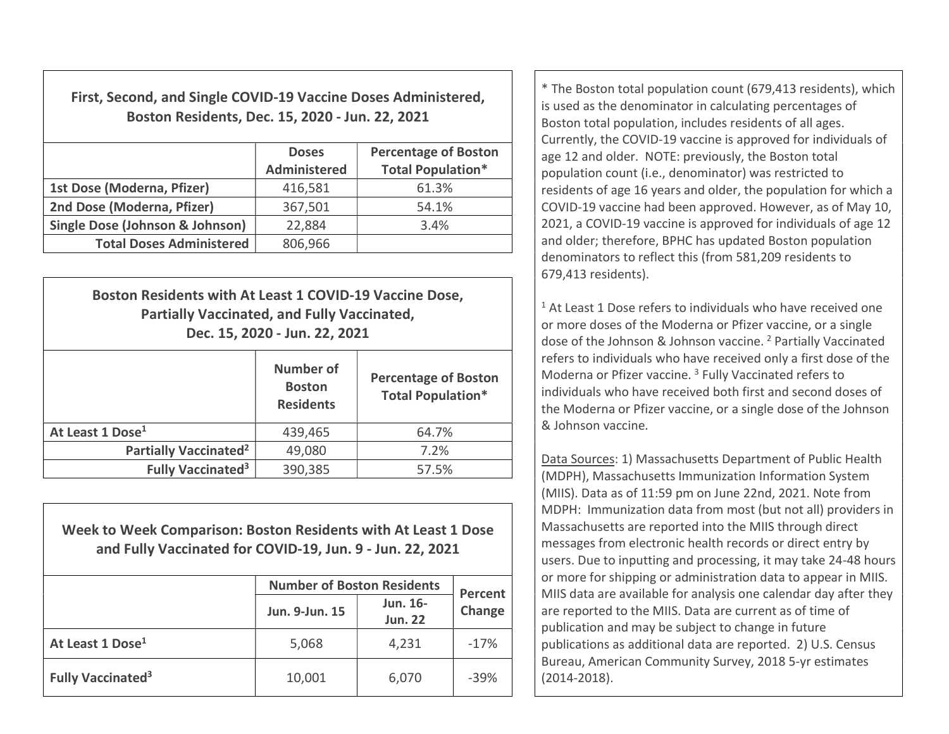First, Second, and Single COVID-19 Vaccine Doses Administered, Boston Residents, Dec. 15, 2020 - Jun. 22, 2021

|                                 | <b>Doses</b><br><b>Administered</b> | <b>Percentage of Boston</b><br><b>Total Population*</b> |
|---------------------------------|-------------------------------------|---------------------------------------------------------|
| 1st Dose (Moderna, Pfizer)      | 416,581                             | 61.3%                                                   |
| 2nd Dose (Moderna, Pfizer)      | 367,501                             | 54.1%                                                   |
| Single Dose (Johnson & Johnson) | 22,884                              | 3.4%                                                    |
| <b>Total Doses Administered</b> | 806,966                             |                                                         |

| Boston Residents with At Least 1 COVID-19 Vaccine Dose,<br><b>Partially Vaccinated, and Fully Vaccinated,</b><br>Dec. 15, 2020 - Jun. 22, 2021 |                                                       |                                                         |  |  |  |
|------------------------------------------------------------------------------------------------------------------------------------------------|-------------------------------------------------------|---------------------------------------------------------|--|--|--|
|                                                                                                                                                | <b>Number of</b><br><b>Boston</b><br><b>Residents</b> | <b>Percentage of Boston</b><br><b>Total Population*</b> |  |  |  |
| At Least 1 Dose <sup>1</sup>                                                                                                                   | 439,465                                               | 64.7%                                                   |  |  |  |
| Partially Vaccinated <sup>2</sup>                                                                                                              | 49,080                                                | 7.2%                                                    |  |  |  |
| <b>Fully Vaccinated<sup>3</sup></b>                                                                                                            | 390,385                                               | 57.5%                                                   |  |  |  |

Week to Week Comparison: Boston Residents with At Least 1 Dose and Fully Vaccinated for COVID-19, Jun. 9 - Jun. 22, 2021

|                                     | <b>Number of Boston Residents</b> | <b>Percent</b>             |        |  |
|-------------------------------------|-----------------------------------|----------------------------|--------|--|
|                                     | Jun. 9-Jun. 15                    | Jun. 16-<br><b>Jun. 22</b> | Change |  |
| At Least 1 Dose <sup>1</sup>        | 5,068                             | 4,231                      | $-17%$ |  |
| <b>Fully Vaccinated<sup>3</sup></b> | 10,001                            | 6,070                      | $-39%$ |  |

\* The Boston total population count (679,413 residents), which is used as the denominator in calculating percentages of Boston total population, includes residents of all ages. Currently, the COVID-19 vaccine is approved for individuals of age 12 and older. NOTE: previously, the Boston total population count (i.e., denominator) was restricted to residents of age 16 years and older, the population for which a COVID-19 vaccine had been approved. However, as of May 10, 2021, a COVID-19 vaccine is approved for individuals of age 12 and older; therefore, BPHC has updated Boston population denominators to reflect this (from 581,209 residents to 679,413 residents).

<sup>1</sup> At Least 1 Dose refers to individuals who have received one or more doses of the Moderna or Pfizer vaccine, or a single dose of the Johnson & Johnson vaccine.<sup>2</sup> Partially Vaccinated refers to individuals who have received only a first dose of the Moderna or Pfizer vaccine.<sup>3</sup> Fully Vaccinated refers to individuals who have received both first and second doses of the Moderna or Pfizer vaccine, or a single dose of the Johnson & Johnson vaccine.

Data Sources: 1) Massachusetts Department of Public Health (MDPH), Massachusetts Immunization Information System (MIIS). Data as of 11:59 pm on June 22nd, 2021. Note from MDPH: Immunization data from most (but not all) providers in Massachusetts are reported into the MIIS through direct messages from electronic health records or direct entry by users. Due to inputting and processing, it may take 24-48 hours or more for shipping or administration data to appear in MIIS. MIIS data are available for analysis one calendar day after they are reported to the MIIS. Data are current as of time of publication and may be subject to change in future publications as additional data are reported. 2) U.S. Census Bureau, American Community Survey, 2018 5-yr estimates (2014-2018).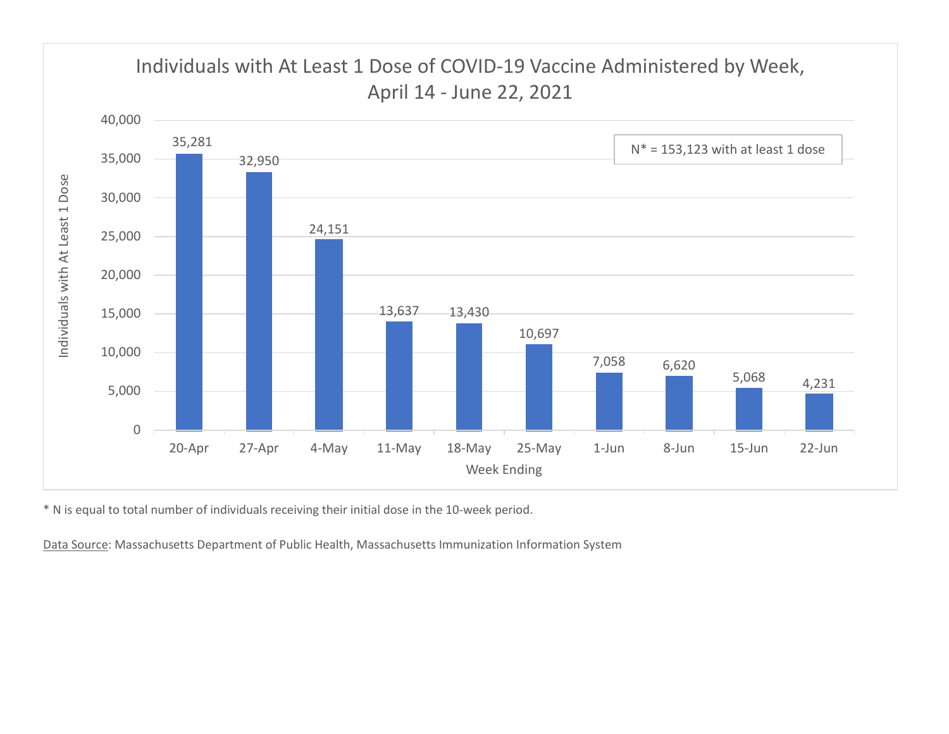

\* N is equal to total number of individuals receiving their initial dose in the 10-week period.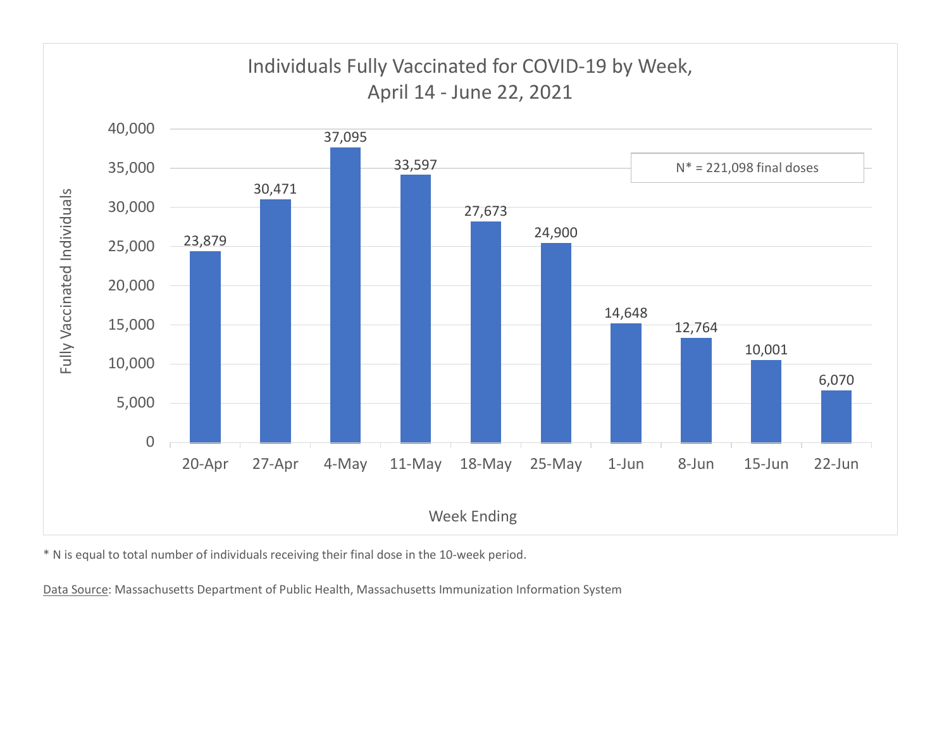

\* N is equal to total number of individuals receiving their final dose in the 10-week period.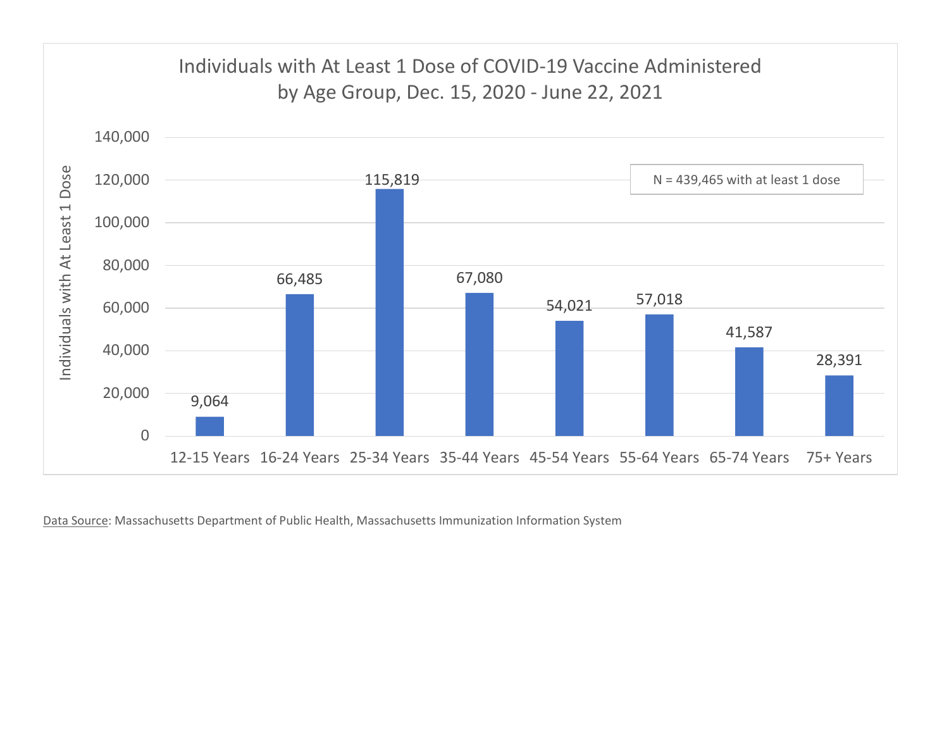

Data Source: Massachusetts Department of Public Health, Massachusetts Immunization Information System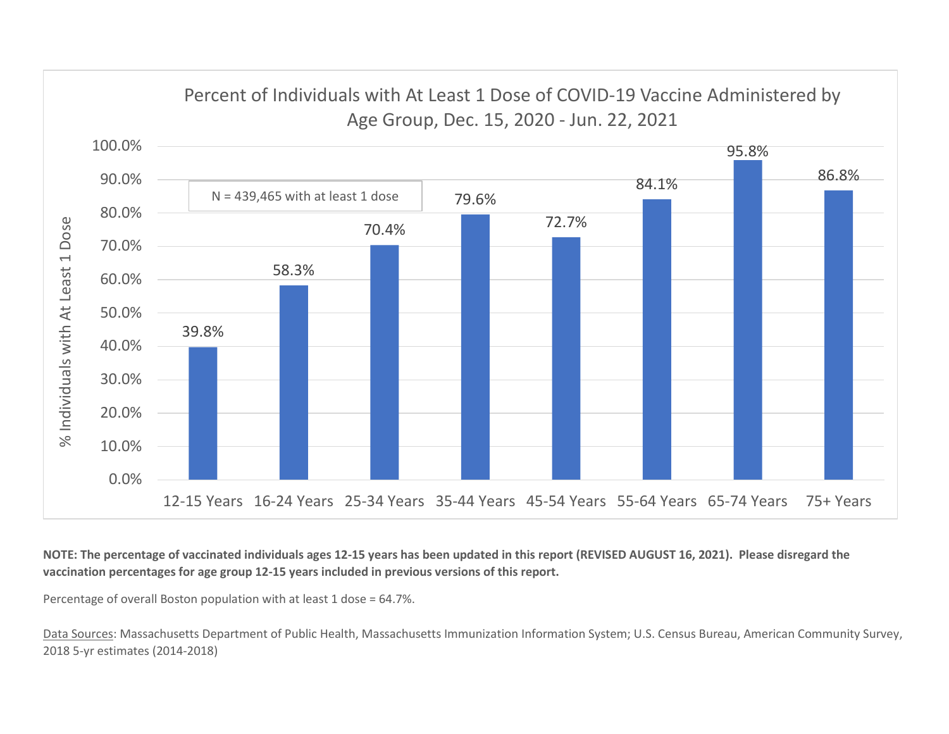

NOTE: The percentage of vaccinated individuals ages 12-15 years has been updated in this report (REVISED AUGUST 16, 2021). Please disregard the vaccination percentages for age group 12-15 years included in previous versions of this report.

Percentage of overall Boston population with at least 1 dose = 64.7%.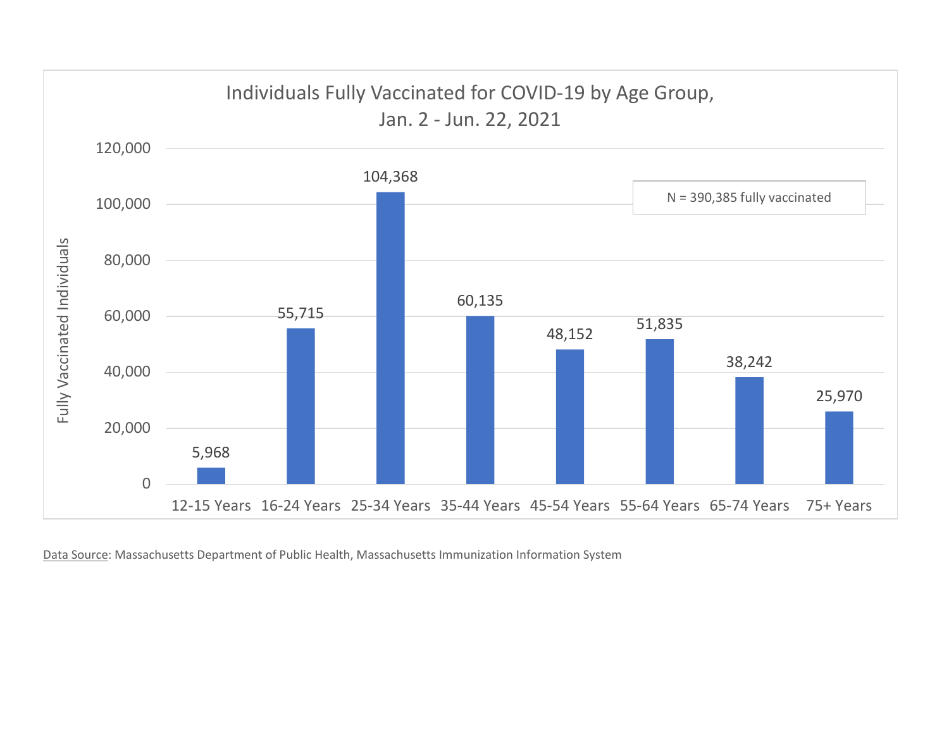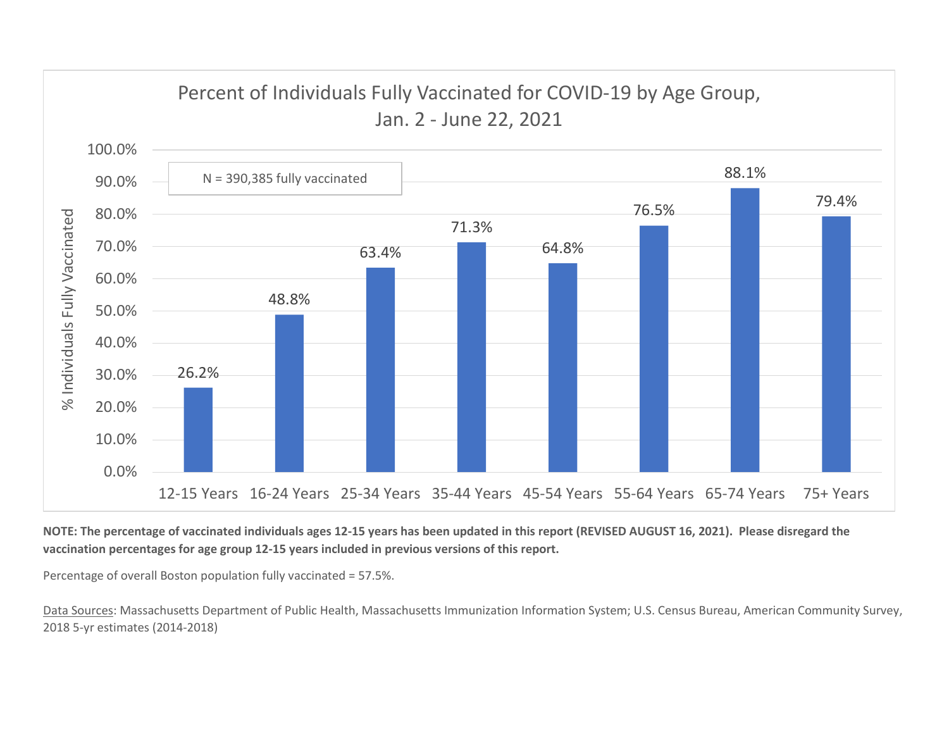

NOTE: The percentage of vaccinated individuals ages 12-15 years has been updated in this report (REVISED AUGUST 16, 2021). Please disregard the vaccination percentages for age group 12-15 years included in previous versions of this report.

Percentage of overall Boston population fully vaccinated = 57.5%.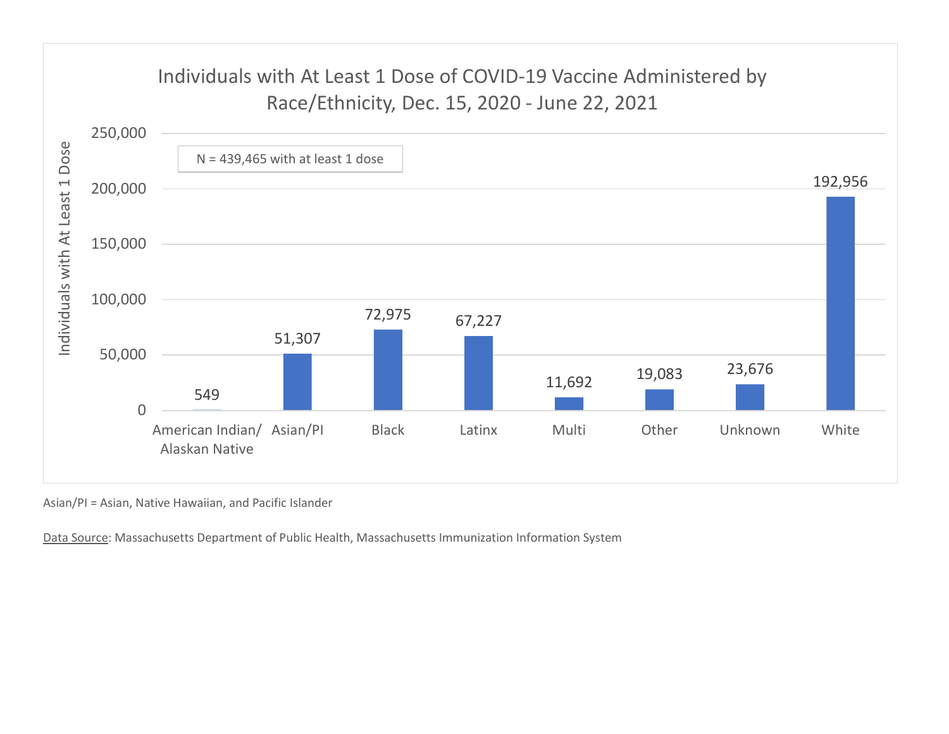

Asian/PI = Asian, Native Hawaiian, and Pacific Islander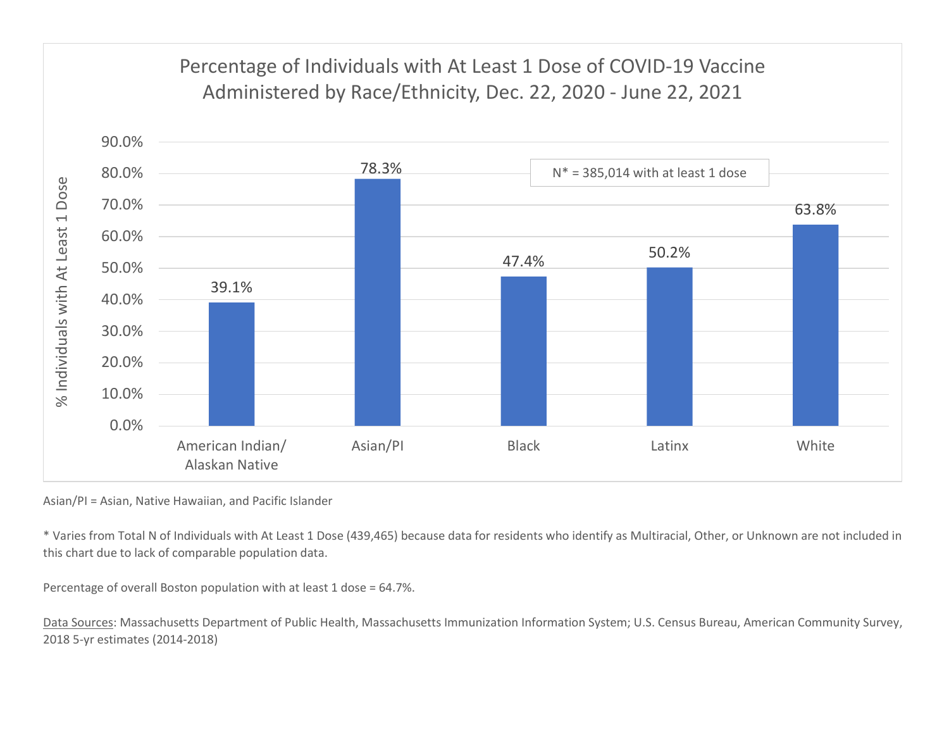

Asian/PI = Asian, Native Hawaiian, and Pacific Islander

\* Varies from Total N of Individuals with At Least 1 Dose (439,465) because data for residents who identify as Multiracial, Other, or Unknown are not included in this chart due to lack of comparable population data.

Percentage of overall Boston population with at least 1 dose = 64.7%.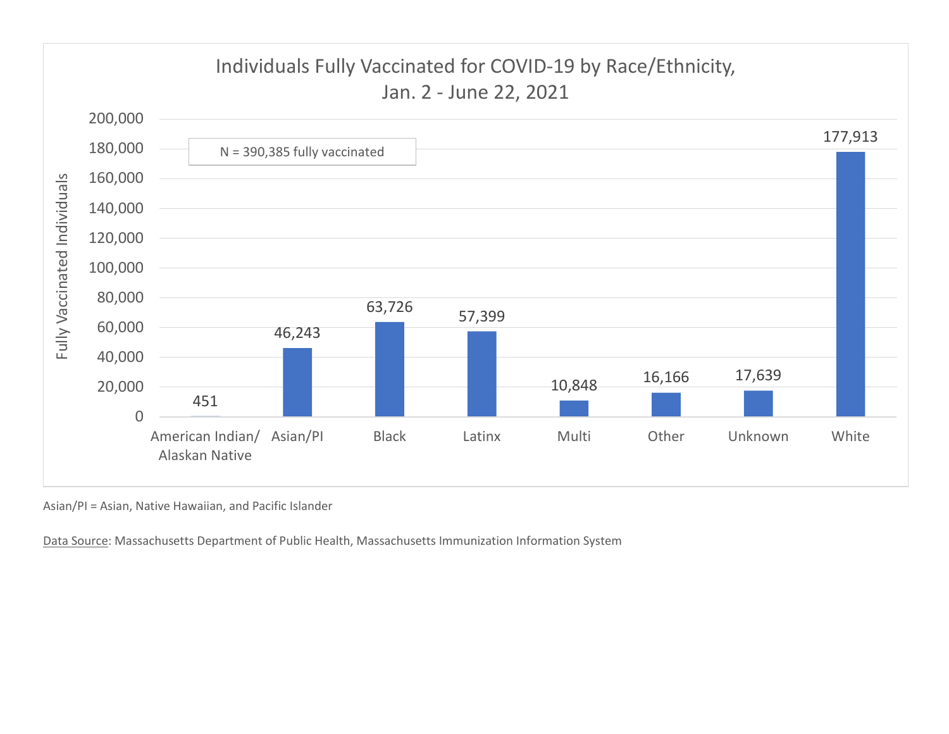

Asian/PI = Asian, Native Hawaiian, and Pacific Islander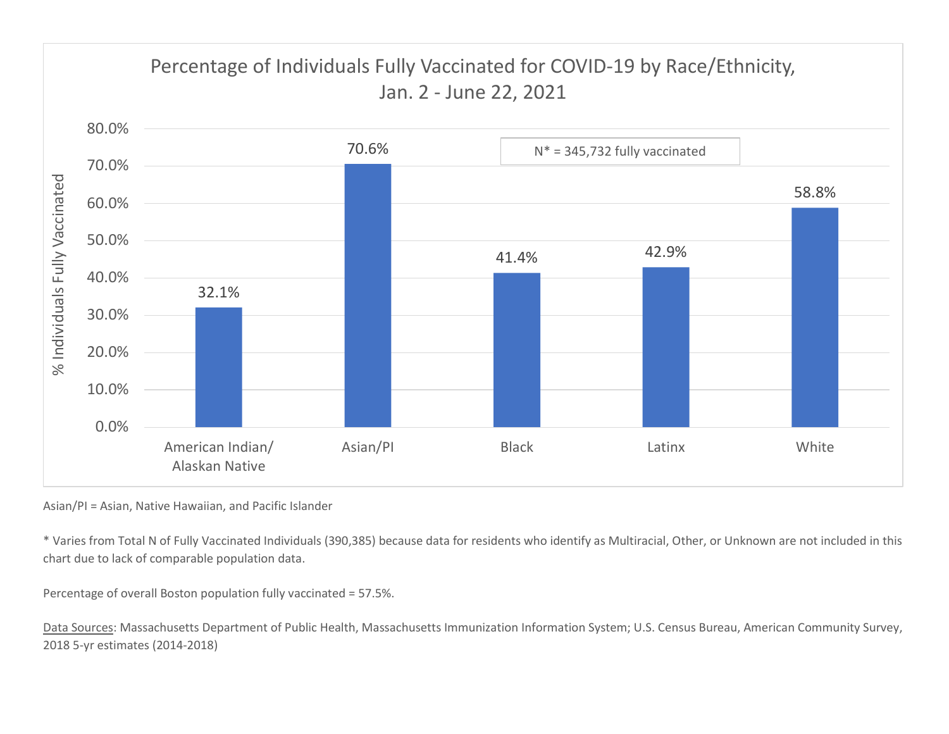

Asian/PI = Asian, Native Hawaiian, and Pacific Islander

\* Varies from Total N of Fully Vaccinated Individuals (390,385) because data for residents who identify as Multiracial, Other, or Unknown are not included in this chart due to lack of comparable population data.

Percentage of overall Boston population fully vaccinated = 57.5%.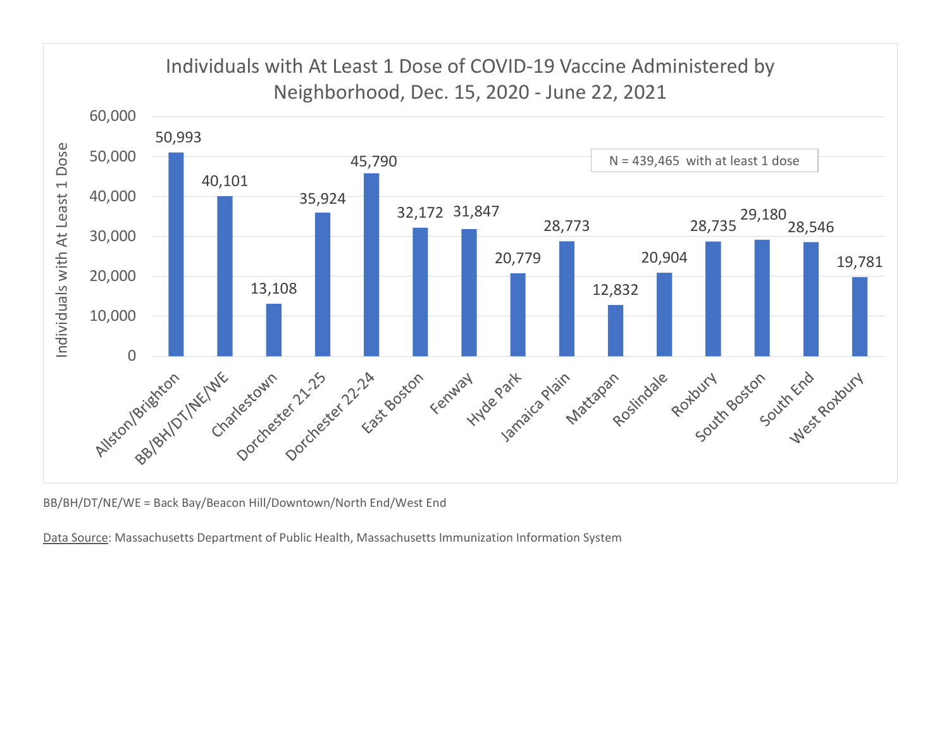

BB/BH/DT/NE/WE = Back Bay/Beacon Hill/Downtown/North End/West End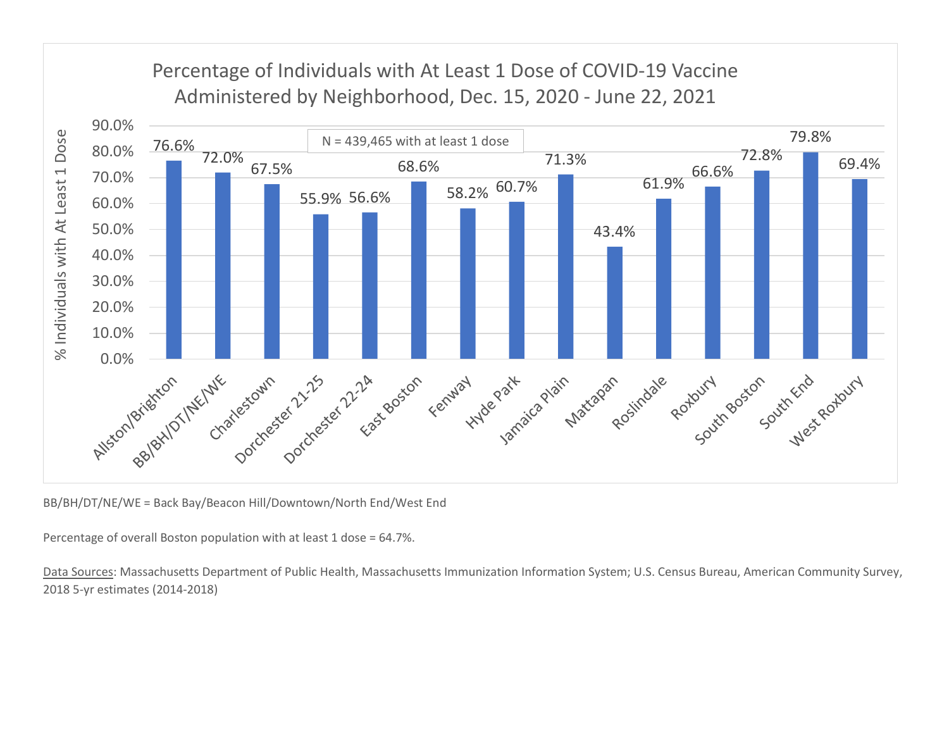

BB/BH/DT/NE/WE = Back Bay/Beacon Hill/Downtown/North End/West End

Percentage of overall Boston population with at least 1 dose = 64.7%.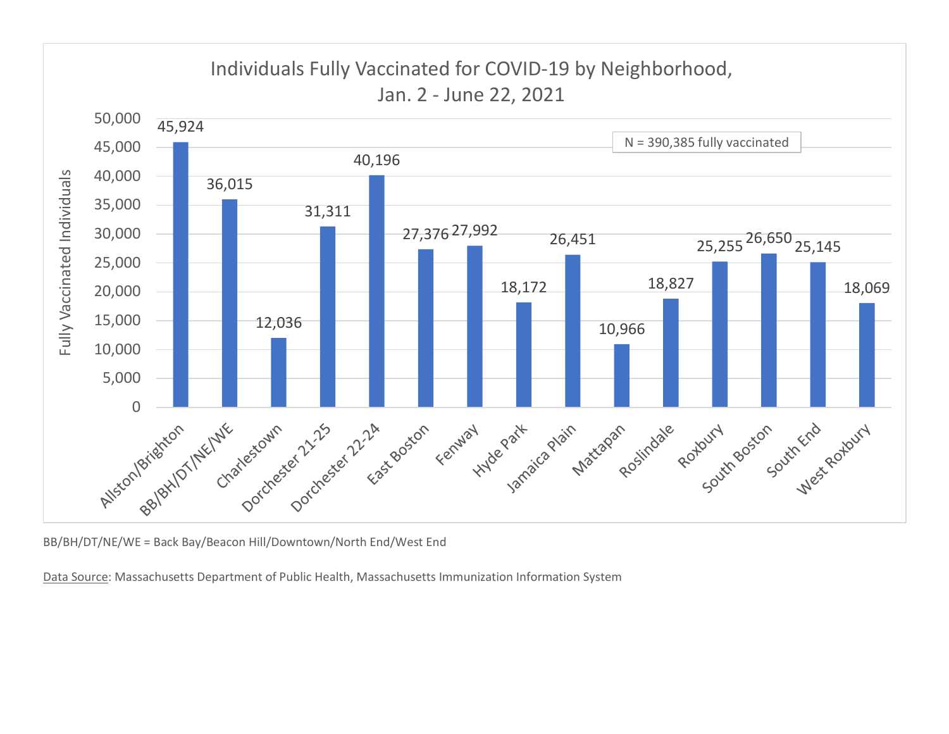

BB/BH/DT/NE/WE = Back Bay/Beacon Hill/Downtown/North End/West End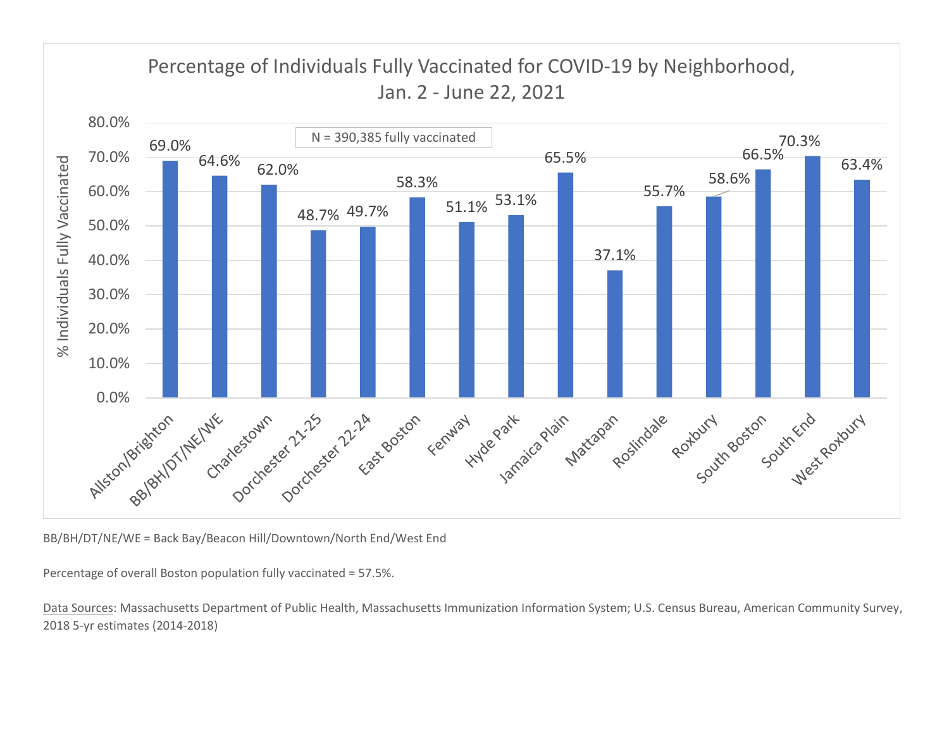

BB/BH/DT/NE/WE = Back Bay/Beacon Hill/Downtown/North End/West End

Percentage of overall Boston population fully vaccinated = 57.5%.